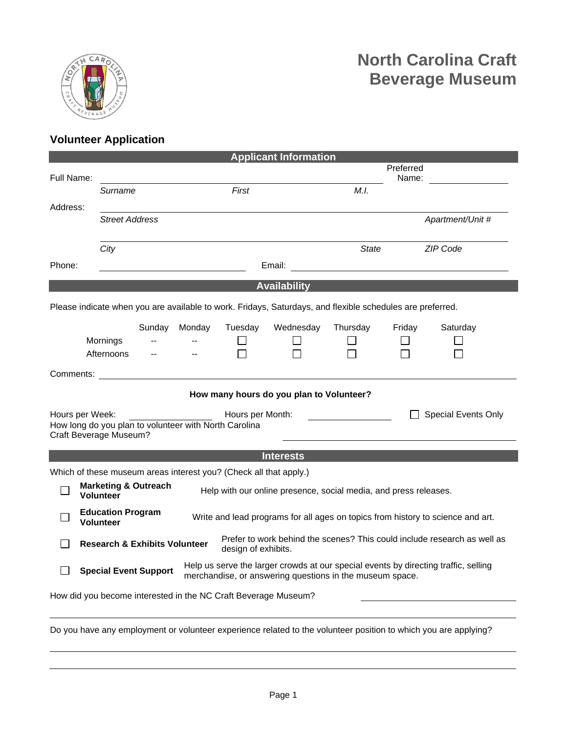

## **Volunteer Application**

| <b>Applicant Information</b>                                                                                                                |                                                                                                                                 |                                                                                                                                                                                 |                                                                  |         |           |                          |                  |          |  |  |  |  |
|---------------------------------------------------------------------------------------------------------------------------------------------|---------------------------------------------------------------------------------------------------------------------------------|---------------------------------------------------------------------------------------------------------------------------------------------------------------------------------|------------------------------------------------------------------|---------|-----------|--------------------------|------------------|----------|--|--|--|--|
|                                                                                                                                             |                                                                                                                                 |                                                                                                                                                                                 |                                                                  |         |           | Preferred                |                  |          |  |  |  |  |
| Full Name:                                                                                                                                  |                                                                                                                                 |                                                                                                                                                                                 |                                                                  |         |           |                          | Name:            |          |  |  |  |  |
|                                                                                                                                             | Surname                                                                                                                         |                                                                                                                                                                                 |                                                                  | First   |           | M.I.                     |                  |          |  |  |  |  |
| Address:                                                                                                                                    |                                                                                                                                 |                                                                                                                                                                                 |                                                                  |         |           |                          |                  |          |  |  |  |  |
|                                                                                                                                             | <b>Street Address</b>                                                                                                           |                                                                                                                                                                                 |                                                                  |         |           |                          | Apartment/Unit # |          |  |  |  |  |
|                                                                                                                                             |                                                                                                                                 |                                                                                                                                                                                 |                                                                  |         |           |                          |                  |          |  |  |  |  |
|                                                                                                                                             | City                                                                                                                            |                                                                                                                                                                                 |                                                                  |         |           | <b>State</b><br>ZIP Code |                  |          |  |  |  |  |
| Phone:                                                                                                                                      |                                                                                                                                 |                                                                                                                                                                                 |                                                                  |         | Email:    |                          |                  |          |  |  |  |  |
|                                                                                                                                             |                                                                                                                                 |                                                                                                                                                                                 |                                                                  |         |           |                          |                  |          |  |  |  |  |
| <b>Availability</b>                                                                                                                         |                                                                                                                                 |                                                                                                                                                                                 |                                                                  |         |           |                          |                  |          |  |  |  |  |
| Please indicate when you are available to work. Fridays, Saturdays, and flexible schedules are preferred.                                   |                                                                                                                                 |                                                                                                                                                                                 |                                                                  |         |           |                          |                  |          |  |  |  |  |
|                                                                                                                                             |                                                                                                                                 | Sunday                                                                                                                                                                          | Monday                                                           | Tuesday | Wednesday | Thursday                 | Friday           | Saturday |  |  |  |  |
|                                                                                                                                             | Mornings                                                                                                                        |                                                                                                                                                                                 |                                                                  |         |           |                          |                  |          |  |  |  |  |
|                                                                                                                                             | Afternoons                                                                                                                      | $\overline{\phantom{a}}$                                                                                                                                                        | $\mathbf{u}$                                                     |         |           |                          |                  |          |  |  |  |  |
|                                                                                                                                             |                                                                                                                                 |                                                                                                                                                                                 |                                                                  |         |           |                          |                  |          |  |  |  |  |
|                                                                                                                                             |                                                                                                                                 |                                                                                                                                                                                 |                                                                  |         |           |                          |                  |          |  |  |  |  |
| How many hours do you plan to Volunteer?                                                                                                    |                                                                                                                                 |                                                                                                                                                                                 |                                                                  |         |           |                          |                  |          |  |  |  |  |
| Hours per Week:<br>Hours per Month:<br><b>Special Events Only</b>                                                                           |                                                                                                                                 |                                                                                                                                                                                 |                                                                  |         |           |                          |                  |          |  |  |  |  |
| How long do you plan to volunteer with North Carolina                                                                                       |                                                                                                                                 |                                                                                                                                                                                 |                                                                  |         |           |                          |                  |          |  |  |  |  |
|                                                                                                                                             | Craft Beverage Museum?                                                                                                          |                                                                                                                                                                                 |                                                                  |         |           |                          |                  |          |  |  |  |  |
| <b>Interests</b>                                                                                                                            |                                                                                                                                 |                                                                                                                                                                                 |                                                                  |         |           |                          |                  |          |  |  |  |  |
|                                                                                                                                             |                                                                                                                                 |                                                                                                                                                                                 |                                                                  |         |           |                          |                  |          |  |  |  |  |
| Which of these museum areas interest you? (Check all that apply.)<br><b>Marketing &amp; Outreach</b>                                        |                                                                                                                                 |                                                                                                                                                                                 |                                                                  |         |           |                          |                  |          |  |  |  |  |
|                                                                                                                                             | <b>Volunteer</b>                                                                                                                |                                                                                                                                                                                 | Help with our online presence, social media, and press releases. |         |           |                          |                  |          |  |  |  |  |
|                                                                                                                                             | <b>Education Program</b><br>Write and lead programs for all ages on topics from history to science and art.<br><b>Volunteer</b> |                                                                                                                                                                                 |                                                                  |         |           |                          |                  |          |  |  |  |  |
| Prefer to work behind the scenes? This could include research as well as<br><b>Research &amp; Exhibits Volunteer</b><br>design of exhibits. |                                                                                                                                 |                                                                                                                                                                                 |                                                                  |         |           |                          |                  |          |  |  |  |  |
|                                                                                                                                             |                                                                                                                                 | Help us serve the larger crowds at our special events by directing traffic, selling<br><b>Special Event Support</b><br>merchandise, or answering questions in the museum space. |                                                                  |         |           |                          |                  |          |  |  |  |  |
| How did you become interested in the NC Craft Beverage Museum?                                                                              |                                                                                                                                 |                                                                                                                                                                                 |                                                                  |         |           |                          |                  |          |  |  |  |  |
|                                                                                                                                             |                                                                                                                                 |                                                                                                                                                                                 |                                                                  |         |           |                          |                  |          |  |  |  |  |

Do you have any employment or volunteer experience related to the volunteer position to which you are applying?